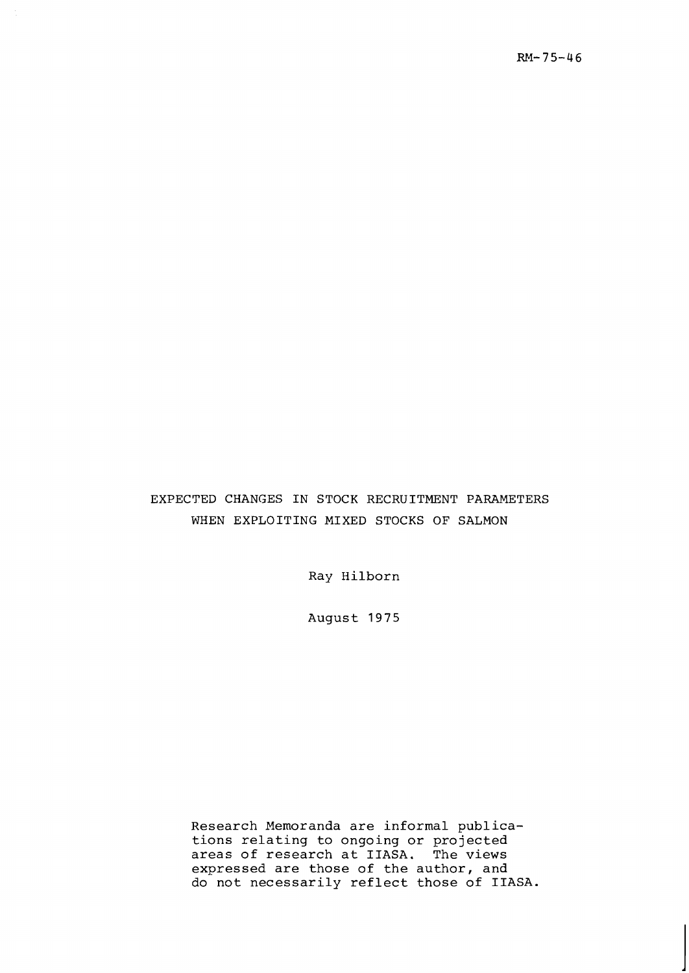# EXPECTED CHANGES IN STOCK RECRUITMENT PARAMETERS WHEN EXPLOITING MIXED STOCKS OF SALMON

Ray Hilborn

August 1975

Research Memoranda are informal publications relating to ongoing or projected areas of research at IIASA. The views expressed are those of the author, and do not necessarily reflect those of IIASA.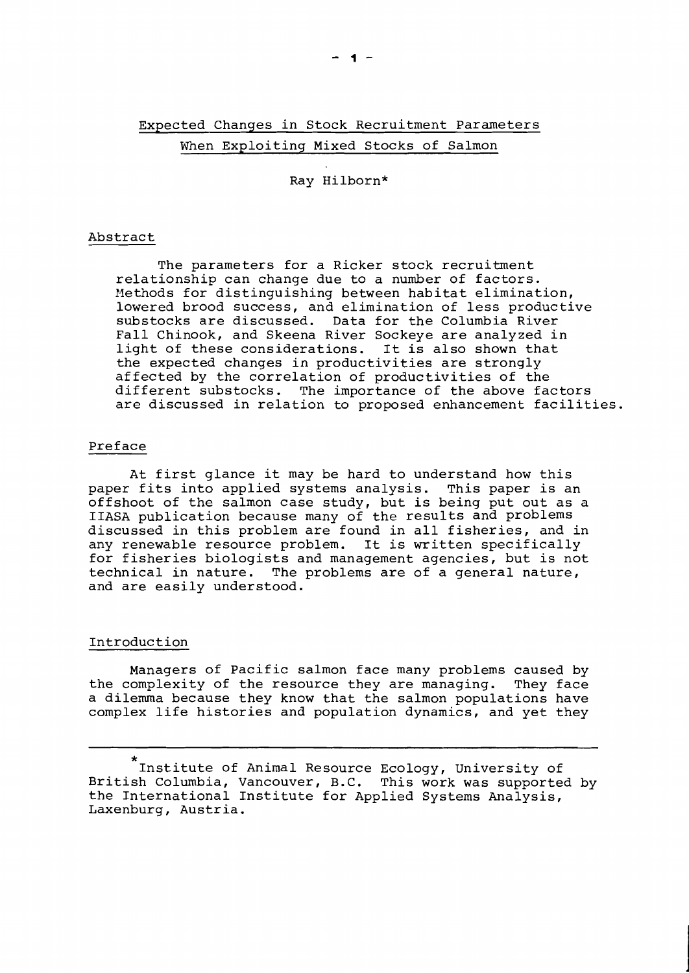# Expected Changes in Stock Recruitment Parameters When Exploiting Mixed Stocks of Salmon

Ray Hilborn\*

#### Abstract

The parameters for a Ricker stock recruitment relationship can change due to a number of factors. Methods for distinguishing between habitat elimination, lowered brood success, and elimination of less productive substocks are discussed. Data for the Columbia River Fall Chinook, and Skeena River Sockeye are analyzed in light of these considerations. It is also shown that the expected changes in productivities are strongly affected by the correlation of productivities of the different substocks. The importance of the above factors are discussed in relation to proposed enhancement facilities.

### Preface

At first glance it may be hard to understand how this paper fits into applied systems analysis. This paper is an offshoot of the salmon case study, but is being put out as a IIASA publication because many of the results and problems discussed in this problem are found in all fisheries, and in any renewable resource problem. It is written specifically for fisheries biologists and management agencies, but is not technical in nature. The problems are of a general nature, and are easily understood.

# Introduction

Managers of Pacific salmon face many problems caused by the complexity of the resource they are managing. They face a dilemma because they know that the salmon populations have complex life histories and population dynamics, and yet they

<sup>\*</sup>  Institute of Animal Resource Ecology, University of British Columbia, Vancouver, B.C. This work was supported by the International Institute for Applied Systems Analysis, Laxenburg, Austria.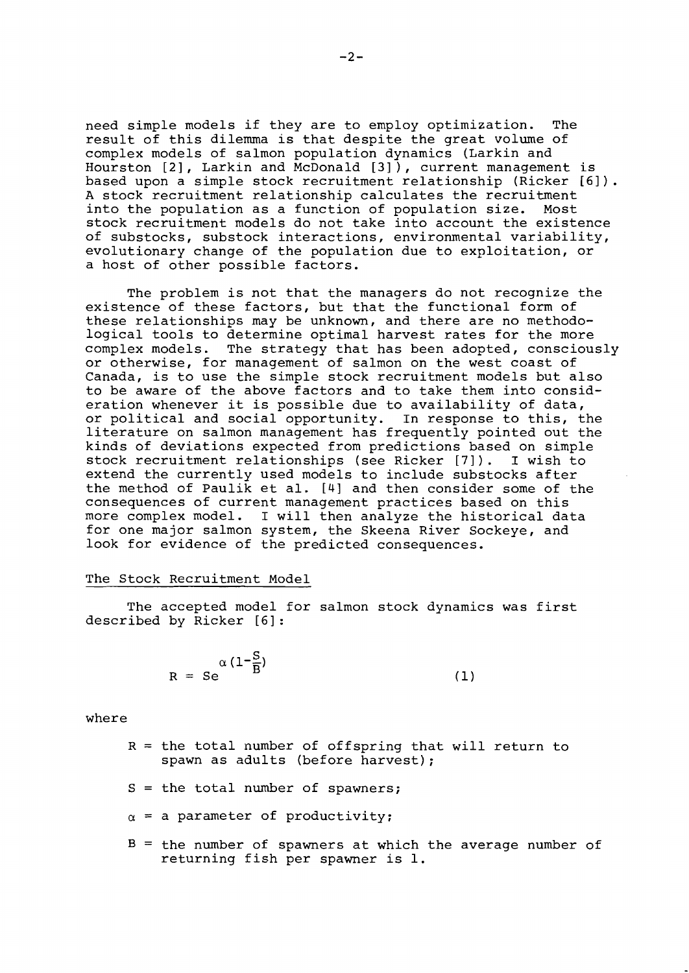need simple models if they are to employ optimization. The result of this dilemma is that despite the great volume of complex models of salmon population dynamics (Larkin and Hourston [2], Larkin and McDonald [3] ), current management is based upon a simple stock recruitment relationship (Ricker [61). A stock recruitment relationship calculates the recruitment<br>into the population as a function of population size. Most into the population as a function of population size. stock recruitment models do not take into account the existence of substocks, substock interactions, environmental variability, evolutionary change of the population due to exploitation, or a host of other possible factors.

The problem is not that the managers do not recognize the existence of these factors, but that the functional form of these relationships may be unknown, and there are no methodological tools to determine optimal harvest rates for the more complex models. The strategy that has been adopted, consciously or otherwise, for management of salmon on the west coast of Canada, is to use the simple stock recruitment models but also to be aware of the above factors and to take them into consideration whenever it is possible due to availability of data, or political and social opportunity. In response to this, the literature on salmon management has frequently pointed out the kinds of deviations expected from predictions based on simple stock recruitment relationships (see Ricker [71) . I wish to extend the currently used models to include substocks after the method of Paulik et al. [4] and then consider some of the consequences of current management practices based on this more complex model. I will then analyze the historical data for one major salmon system, the Skeena River Sockeye, and look for evidence of the predicted consequences.

#### The Stock Recruitment Model

The accepted model for salmon stock dynamics was first described by Ricker [6] :

$$
R = S e^{\alpha (1 - \frac{S}{B})}
$$
 (1)

where

- $R =$  the total number of offspring that will return to spawn as adults (before harvest);
- $S =$  the total number of spawners;
- $\alpha$  = a parameter of productivity;
- $B =$  the number of spawners at which the average number of returning fish per spawner is 1.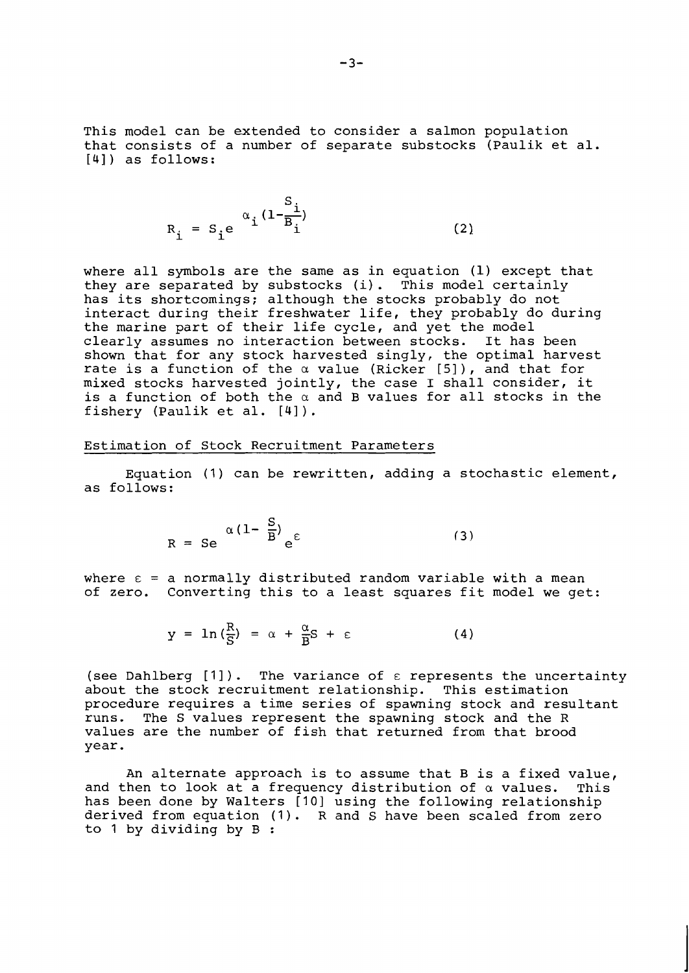This model can be extended to consider a salmon population that consists of a number of separate substocks (Paulik et al. **[4]** ) as follows:

$$
R_{i} = S_{i}e^{-\alpha}i \frac{(1-\frac{S_{i}}{B_{i}})}{(2)}
$$

where all symbols are the same as in equation (1) except that they are separated by substocks (i). This model certainly has its shortcomings; although the stocks probably do not interact during their freshwater life, they probably do during the marine part of their life cycle, and yet the model<br>clearly assumes no interaction between stocks. It has been clearly assumes no interaction between stocks. shown that for any stock harvested singly, the optimal harvest rate is a function of the a value (Ricker **[5]** ) , and that for rate is a function of the a value (Ricker [3]), and that for<br>mixed stocks harvested jointly, the case I shall consider, it is a function of both the a and B values for all stocks in the fishery (Paulik et al. **[41** ) .

# Estimation of Stock Recruitment Parameters

Equation (1) can be rewritten, adding a stochastic element, as follows:

$$
R = Se \quad \alpha (1 - \frac{S}{B}) e^{E}
$$
 (3)

where  $\epsilon$  = a normally distributed random variable with a mean of zero. Converting this to a least squares fit model we get:

$$
y = \ln\left(\frac{R}{S}\right) = \alpha + \frac{\alpha}{B}S + \varepsilon \tag{4}
$$

(see Dahlberg  $[1]$ ). The variance of  $\varepsilon$  represents the uncertainty about the stock recruitment relationship. This estimation procedure requires a time series of spawning stock and resultant<br>runs. The S values represent the spawning stock and the R The S values represent the spawning stock and the R values are the number of fish that returned from that brood year.

An alternate approach is to assume that B is a fixed value, and then to look at a frequency distribution of  $\alpha$  values. This has been done by Walters [10] using the following relationship derived from equation **(1).** R and S have been scaled from zero to 1 by dividing by B :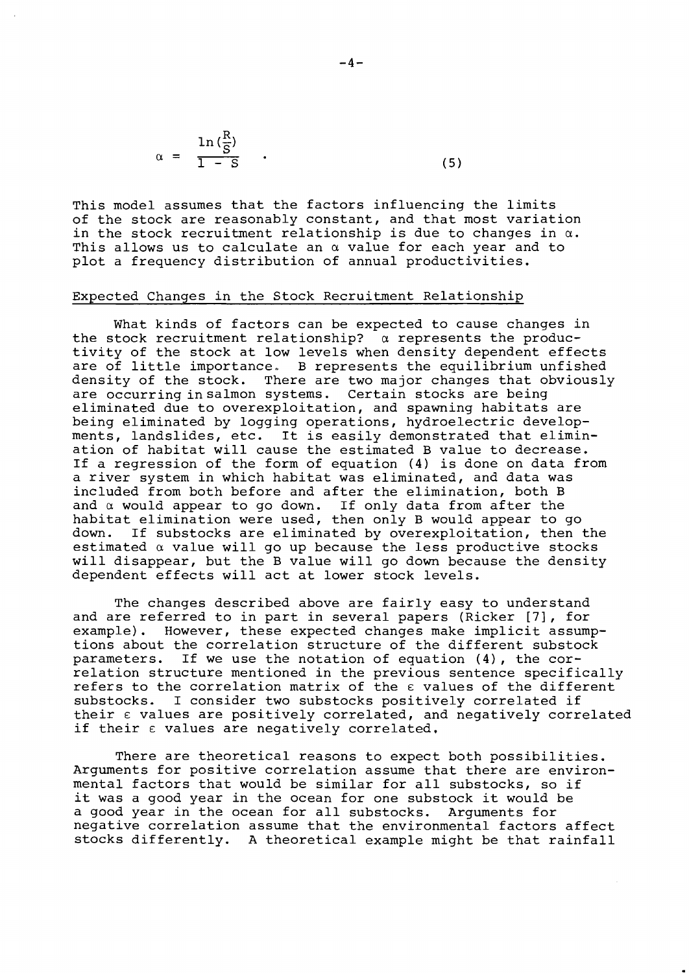$$
\alpha = \frac{\ln\left(\frac{R}{S}\right)}{1 - S} \tag{5}
$$

 $\mathbf{r}$ 

This model assumes that the factors influencing the limits of the stock are reasonably constant, and that most variation in the stock recruitment relationship is due to changes in  $\alpha$ . This allows us to calculate an  $\alpha$  value for each year and to plot a frequency distribution of annual productivities.

# Expected Changes in the Stock Recruitment Relationship

What kinds of factors can be expected to cause changes in the stock recruitment relationship?  $\alpha$  represents the productivity of the stock at low levels when density dependent effects are of little importance. B represents the equilibrium unfished<br>density of the stock. There are two major changes that obviously There are two major changes that obviously are occurring insalmon systems. Certain stocks are being eliminated due to overexploitation, and spawning habitats are being eliminated by logging operations, hydroelectric developments, landslides, etc. It is easily demonstrated that elimination of habitat will cause the estimated B value to decrease. If a regression of the form of equation (4) is done on data from a river system in which habitat was eliminated, and data was included from both before and after the elimination, both B and  $\alpha$  would appear to go down. If only data from after the habitat elimination were used, then only B would appear to go<br>down. If substocks are eliminated by overexploitation, then If substocks are eliminated by overexploitation, then the estimated  $\alpha$  value will go up because the less productive stocks will disappear, but the B value will go down because the density dependent effects will act at lower stock levels.

The changes described above are fairly easy to understand and are referred to in part in several papers (Ricker [7], for<br>example). However, these expected changes make implicit assum However, these expected changes make implicit assumptions about the correlation structure of the different substock<br>parameters. If we use the notation of equation (4), the cor-If we use the notation of equation  $(4)$ , the correlation structure mentioned in the previous sentence specifically refers to the correlation matrix of the  $\varepsilon$  values of the different substocks. I consider two substocks positively correlated if their  $\epsilon$  values are positively correlated, and negatively correlated if their  $\varepsilon$  values are negatively correlated.

There are theoretical reasons to expect both possibilities. Arguments for positive correlation assume that there are environmental factors that would be similar for all substocks, so if it was a good year in the ocean for one substock it would be a good year in the ocean for all substocks. Arguments for negative correlation assume that the environmental factors affect stocks differently. A theoretical example might be that rainfall

 $-4-$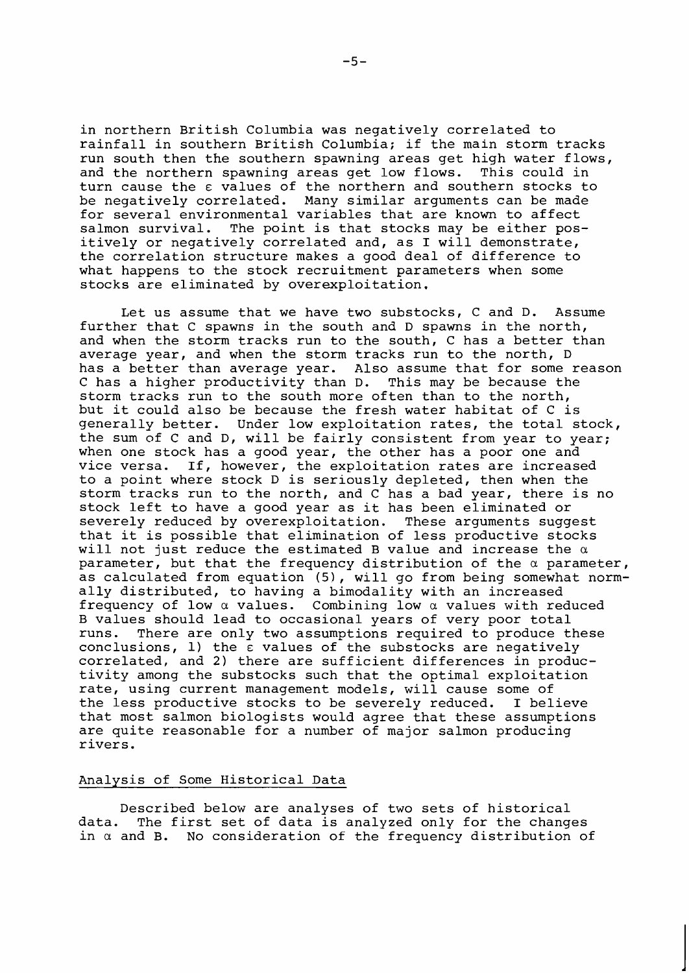in northern British Columbia was negatively correlated to rainfall in southern British Columbia; if the main storm tracks run south then the southern spawning areas get high water flows,<br>and the northern spawning areas get low flows. This could in and the northern spawning areas get low flows. turn cause the **E** values of the northern and southern stocks to be negatively correlated. Many similar arguments can be made for several environmental variables that are known to affect salmon survival. The point is that stocks may be either positively or negatively correlated and, as I will demonstrate, the correlation structure makes a good deal of difference to what happens to the stock recruitment parameters when some stocks are eliminated by overexploitation.

Let us assume that we have two substocks, C and D. Assume further that C spawns in the south and D spawns in the north, and when the storm tracks run to the south, C has a better than average year, and when the storm tracks run to the north, D has a better than average year. Also assume that for some reason C has a higher productivity than D. This may be because the storm tracks run to the south more often than to the north, but it could also be because the fresh water habitat of C is generally better. Under low exploitation rates, the total stock, the sum of C and D, will be fairly consistent from year to year; when one stock has a good year, the other has a poor one and vice versa. If, however, the exploitation rates are increased to a point where stock D is seriously depleted, then when the storm tracks run to the north, and C has a bad year, there is no stock left to have a good year as it has been eliminated or severely reduced by overexploitation. These arguments suggest that it is possible that elimination of less productive stocks will not just reduce the estimated B value and increase the *a*  parameter, but that the frequency distribution of the *a* parameter, as calculated from equation (5), will go from being somewhat normally distributed, to having a bimodality with an increased frequency of low *a* values. Combining low *a* values with reduced B values should lead to occasional years of very poor total<br>runs. There are only two assumptions required to produce th There are only two assumptions required to produce these  $conclusions, 1)$  the  $\bar{\epsilon}$  values of the substocks are negatively correlated, and 2) there are sufficient differences in productivity among the substocks such that the optimal exploitation rate, using current management models, will cause some of the less productive stocks to be severely reduced. I believe that most salmon biologists would agree that these assumptions are quite reasonable for a number of major salmon producing rivers.

# Analvsis of Some Historical Data

Described below are analyses of two sets of historical<br>data. The first set of data is analyzed only for the change The first set of data is analyzed only for the changes in *a* and B. No consideration of the frequency distribution of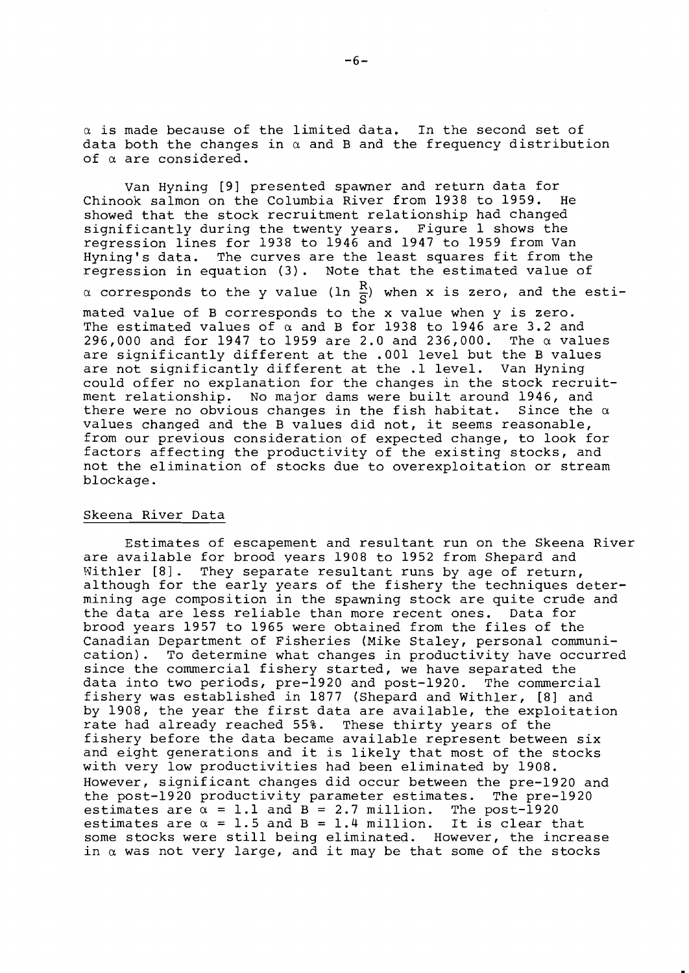$\alpha$  is made because of the limited data. In the second set of data both the changes in  $\alpha$  and B and the frequency distribution of a are considered.

Van Hyning [9] presented spawner and return data for Chinook salmon on the Columbia River from 1938 to 1959. showed that the stock recruitment relationship had changed significantly during the twenty years. Figure 1 shows the regression lines for 1938 to 1946 and 1947 to 1959 from Van Hyning's data. The curves are the least squares fit from the regression in equation (3). Note that the estimated value of  $\alpha$  corresponds to the y value (ln  $\frac{R}{S}$ ) when x is zero, and the estimated value of B corresponds to the x value when y is zero. The estimated values of  $\alpha$  and B for 1938 to 1946 are 3.2 and 296,000 and for 1947 to 1959 are 2.0 and 236,000. The  $\alpha$  values are significantly different at the .001 level but the B values are not significantly different at the .1 level. Van Hyning could offer no explanation for the changes in the stock recruitment relationship. No major dams were built around 1946, and<br>there were no obvious changes in the fish habitat. Since the  $\alpha$ there were no obvious changes in the fish habitat. values changed and the B values did not, it seems reasonable, from our previous consideration of expected change, to look for factors affecting the productivity of the existing stocks, and not the elimination of stocks due to overexploitation or stream blockage.

# Skeena River Data

Estimates of escapement and resultant run on the Skeena River are available for brood years 1908 to 1952 from Shepard and Withler [8]. They separate resultant runs by age of return, although for the early years of the fishery the techniques determining age composition in the spawning stock are quite crude and the data are less reliable than more recent ones. Data for brood years 1957 to 1965 were obtained from the files of the Canadian Department of Fisheries (Mike Staley, personal communication). To determine what changes in productivity have occurred since the commercial fishery started, we have separated the data into two periods, pre-1920 and post-1920. The commercial fishery was established in 1877 (Shepard and Withler, [8] and by 1908, the year the first data are available, the exploitation rate had already reached 55%. These thirty years of the fishery before the data became available represent between six and eight generations and it is likely that most of the stocks with very low productivities had been eliminated by 1908. However, significant changes did occur between the pre-1920 and the post-1920 productivity parameter estimates. The pre-1920 estimates are  $\alpha = 1.1$  and  $B = 2.7$  million. The post-1920 estimates are  $\alpha = 1.5$  and  $B = 1.4$  million. It is clear that some stocks were still being eliminated. However, the increase in  $\alpha$  was not very large, and it may be that some of the stocks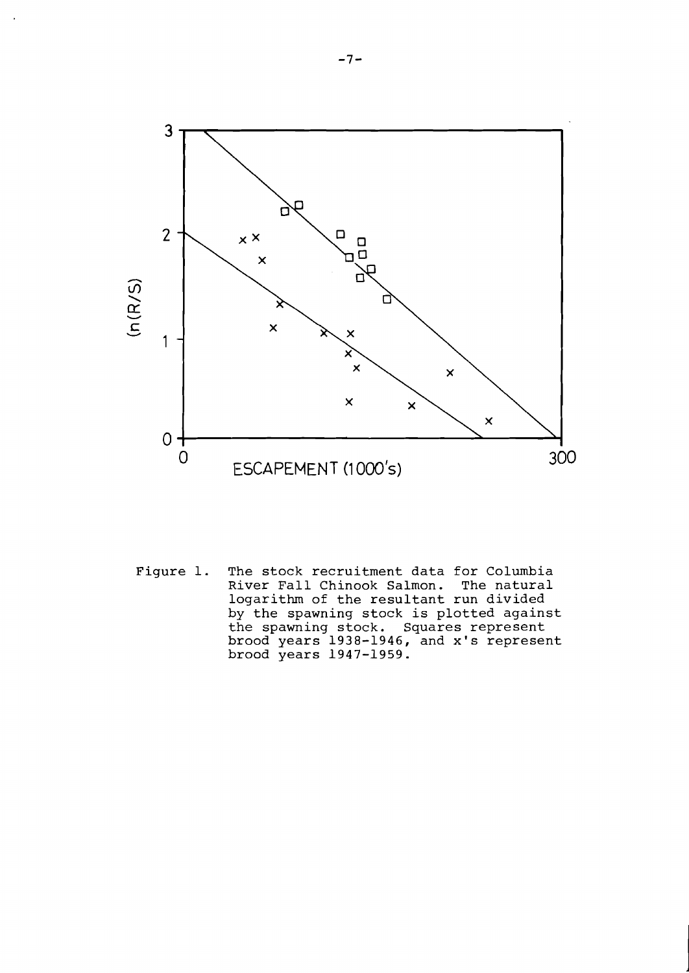

Figure 1. The stock recruitment data for Columbia<br>River Fall Chinook Salmon. The natural River Fall Chinook Salmon. logarithm of the resultant run divided by the spawning stock is plotted against the spawning stock. Squares represent brood years 1938-1946, and x's represent brood years 1947-1959.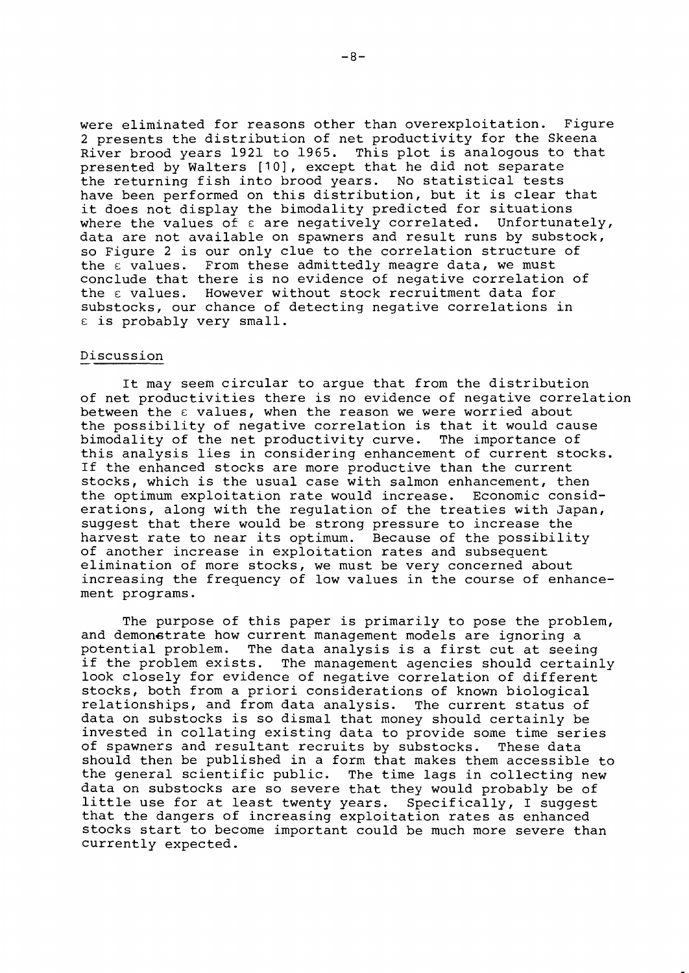were eliminated for reasons other than overexploitation. Figure 2 presents the distribution of net productivity for the Skeena River brood years 1921 to 1965. This plot is analogous to that presented by Walters [10], except that he did not separate the returning fish into brood years. No statistical tests have been performed on this distribution, but it is clear that it does not display the bimodality predicted for situations<br>where the values of  $\varepsilon$  are negatively correlated. Unfortunately, where the values of  $\varepsilon$  are negatively correlated. data are not available on spawners and result runs by substock, so Figure 2 is our only clue to the correlation structure of<br>the  $\varepsilon$  values. From these admittedly meagre data, we must From these admittedly meagre data, we must conclude that there is no evidence of negative correlation of the  $\epsilon$  values. However without stock recruitment data for substocks, our chance of detecting negative correlations in  $\epsilon$  is probably very small.

### Discussion

It may seem circular to argue that from the distribution of net productivities there is no evidence of negative correlation between the  $\epsilon$  values, when the reason we were worried about the possibility of negative correlation is that it would cause bimodality of the net productivity curve. The importance of this analysis lies in considering enhancement of current stocks. If the enhanced stocks are more productive than the current stocks, which is the usual case with salmon enhancement, then the optimum exploitation rate would increase. Economic considerations, along with the regulation of the treaties with Japan, suggest that there would be strong pressure to increase the harvest rate to near its optimum. Because of the possibility of another increase in exploitation rates and subsequent elimination of more stocks, we must be very concerned about increasing the frequency of low values in the course of enhancement programs.

The purpose of this paper is primarily to pose the problem, and demonstrate how current management models are ignoring a potential problem. The data analysis is a first cut at seeing<br>if the problem exists. The management agencies should certain The management agencies should certainly look closely for evidence of negative correlation of different stocks, both from a priori considerations of known biological relationships, and from data analysis. The current status of data on substocks is so dismal that money should certainly be invested in collating existing data to provide some time series of spawners and resultant recruits by substocks. These data should then be published in a form that makes them accessible to the general scientific public. The time lags in collecting new data on substocks are so severe that they would probably be of little use for at least twenty years. Specifically, I suggest that the dangers of increasing exploitation rates as enhanced stocks start to become important could be much more severe than currently expected.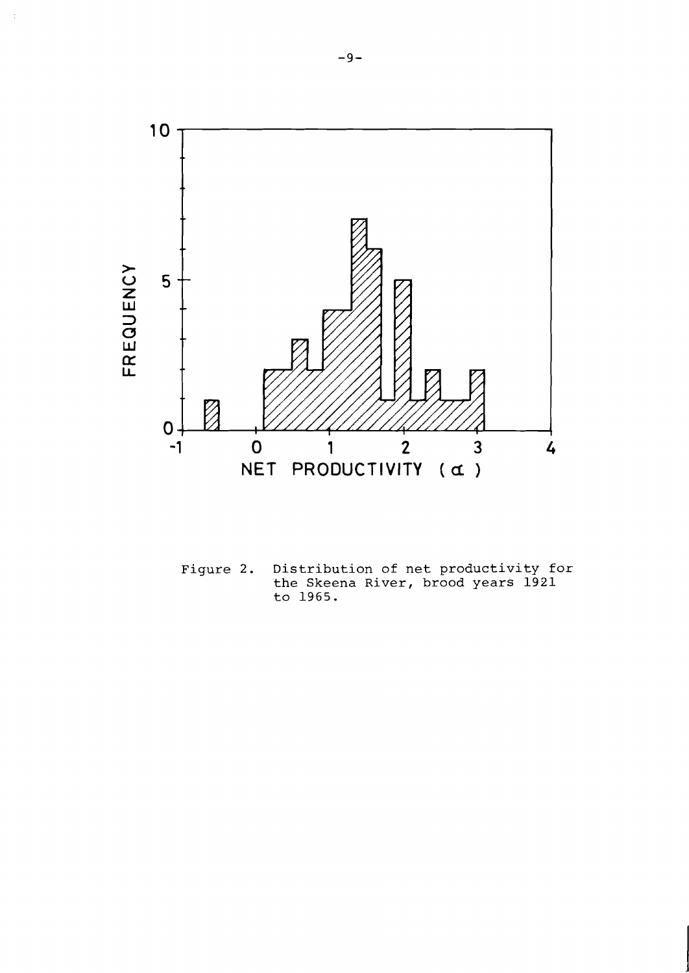

**Figure 2. Distribution of net productivity for the Skeena River, brood years 1921 to 1965.**